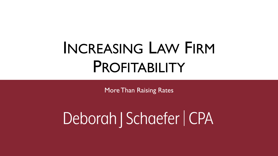# INCREASING LAW FIRM PROFITABILITY

More Than Raising Rates

# Deborah | Schaefer | CPA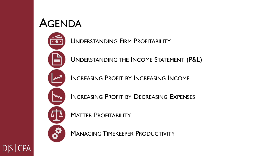#### AGENDA

UNDERSTANDING FIRM PROFITABILITY

UNDERSTANDING THE INCOME STATEMENT (P&L)

INCREASING PROFIT BY INCREASING INCOME

INCREASING PROFIT BY DECREASING EXPENSES



MATTER PROFITABILITY

MANAGING TIMEKEEPER PRODUCTIVITY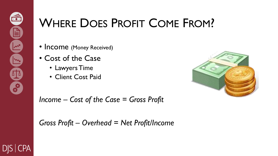## WHERE DOES PROFIT COME FROM?

- Income (Money Received)
- Cost of the Case
	- Lawyers Time
	- Client Cost Paid



*Income – Cost of the Case = Gross Profit*

*Gross Profit – Overhead = Net Profit/Income*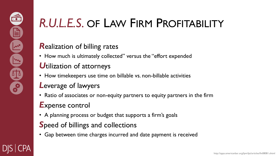## *R.U.L.E.S.* OF LAW FIRM PROFITABILITY

#### *R*ealization of billing rates

• How much is ultimately collected" versus the "effort expended

#### *U*tilization of attorneys

• How timekeepers use time on billable vs. non-billable activities

#### *L*everage of lawyers

• Ratio of associates or non-equity partners to equity partners in the firm

#### *E*xpense control

• A planning process or budget that supports a firm's goals

#### *S*peed of billings and collections

• Gap between time charges incurred and date payment is received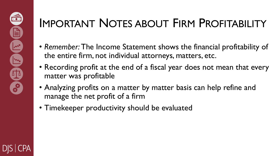## IMPORTANT NOTES ABOUT FIRM PROFITABILITY

- *Remember:* The Income Statement shows the financial profitability of the entire firm, not individual attorneys, matters, etc.
- Recording profit at the end of a fiscal year does not mean that every matter was profitable
- Analyzing profits on a matter by matter basis can help refine and manage the net profit of a firm
- Timekeeper productivity should be evaluated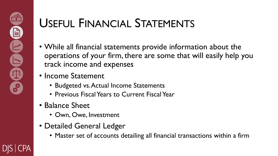## USEFUL FINANCIAL STATEMENTS

- While all financial statements provide information about the operations of your firm, there are some that will easily help you track income and expenses
- Income Statement
	- Budgeted vs. Actual Income Statements
	- Previous Fiscal Years to Current Fiscal Year
- Balance Sheet
	- Own, Owe, Investment
- Detailed General Ledger
	- Master set of accounts detailing all financial transactions within a firm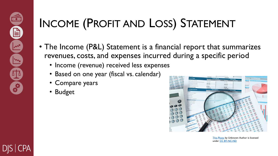## INCOME (PROFIT AND LOSS) STATEMENT

- The Income (P&L) Statement is a financial report that summarizes revenues, costs, and expenses incurred during a specific period
	- Income (revenue) received less expenses
	- Based on one year (fiscal vs. calendar)
	- Compare years
	- **Budget**



[This Photo](http://dollarsandsense.sg/3-ways-companies-financial-statements-could-be-manipulated-to-attract-investors/) by Unknown Author is licensed under [CC BY-NC-ND](https://creativecommons.org/licenses/by-nc-nd/3.0/)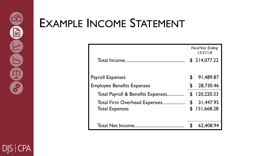## EXAMPLE INCOME STATEMENT

|                                   | <b>Fiscal Year Ending</b><br>12/31/18 |              |
|-----------------------------------|---------------------------------------|--------------|
| Total Income                      |                                       | \$214,077.22 |
|                                   | \$                                    | 91,489.87    |
| <b>Payroll Expenses</b>           |                                       |              |
| <b>Employee Benefits Expenses</b> | \$                                    | 28,730.46    |
| Total Payroll & Benefits Expenses | \$                                    | 120,220.33   |
| Total Firm Overhead Expenses      | \$                                    | 31,447.95    |
| <b>Total Expenses</b>             | \$                                    | 151,668.28   |
|                                   |                                       |              |
| <b>Total Net Income.</b>          |                                       | 62,408.94    |

**DJS CPA**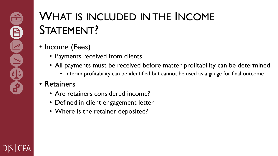## WHAT IS INCLUDED IN THE INCOME STATEMENT?

- Income (Fees)
	- Payments received from clients
	- All payments must be received before matter profitability can be determined
		- Interim profitability can be identified but cannot be used as a gauge for final outcome

#### • Retainers

- Are retainers considered income?
- Defined in client engagement letter
- Where is the retainer deposited?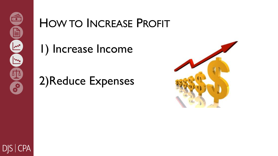#### HOW TO INCREASE PROFIT

1) Increase Income

## 2)Reduce Expenses



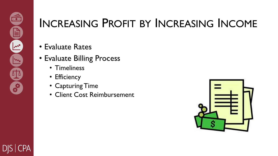## INCREASING PROFIT BY INCREASING INCOME

- Evaluate Rates
- Evaluate Billing Process
	- Timeliness
	- Efficiency
	- Capturing Time
	- Client Cost Reimbursement

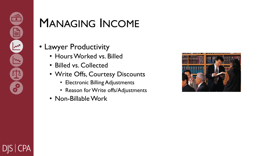### MANAGING INCOME

- Lawyer Productivity
	- Hours Worked vs. Billed
	- Billed vs. Collected
	- Write Offs, Courtesy Discounts
		- Electronic Billing Adjustments
		- Reason for Write offs/Adjustments
	- Non-Billable Work

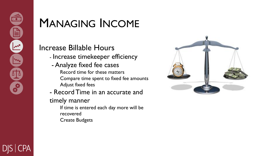### MANAGING INCOME

#### Increase Billable Hours

- Increase timekeeper efficiency
- Analyze fixed fee cases Record time for these matters Compare time spent to fixed fee amounts Adjust fixed fees
- Record Time in an accurate and
- timely manner
	- If time is entered each day more will be recovered Create Budgets

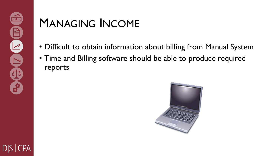### MANAGING INCOME

- Difficult to obtain information about billing from Manual System
- Time and Billing software should be able to produce required reports

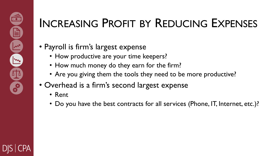## INCREASING PROFIT BY REDUCING EXPENSES

- Payroll is firm's largest expense
	- How productive are your time keepers?
	- How much money do they earn for the firm?
	- Are you giving them the tools they need to be more productive?
- Overhead is a firm's second largest expense
	- Rent
	- Do you have the best contracts for all services (Phone, IT, Internet, etc.)?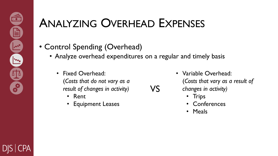## ANALYZING OVERHEAD EXPENSES

#### • Control Spending (Overhead)

• Analyze overhead expenditures on a regular and timely basis

VS

- Fixed Overhead: (*Costs that do not vary as a result of changes in activity)*
	- Rent
	- **Equipment Leases**

• Variable Overhead: (*Costs that vary as a result of changes in activity)*

- Trips
- Conferences
- Meals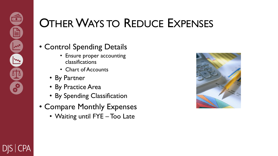## OTHER WAYS TO REDUCE EXPENSES

#### • Control Spending Details

- Ensure proper accounting classifications
- Chart of Accounts
- By Partner
- By Practice Area
- By Spending Classification
- Compare Monthly Expenses
	- Waiting until FYE Too Late

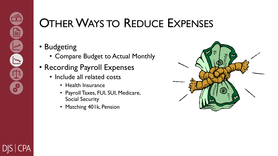## OTHER WAYS TO REDUCE EXPENSES

#### • Budgeting

- Compare Budget to Actual Monthly
- Recording Payroll Expenses
	- Include all related costs
		- Health Insurance
		- Payroll Taxes, FUI, SUI, Medicare, Social Security
		- Matching 401k, Pension

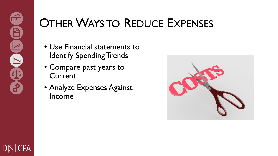## OTHER WAYS TO REDUCE EXPENSES

- Use Financial statements to Identify Spending Trends
- Compare past years to **Current**
- Analyze Expenses Against Income

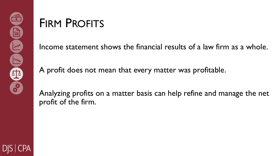#### FIRM PROFITS

Income statement shows the financial results of a law firm as a whole.

A profit does not mean that every matter was profitable.

Analyzing profits on a matter basis can help refine and manage the net profit of the firm.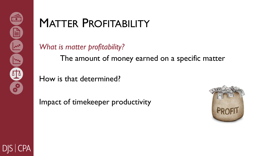### MATTER PROFITABILITY

*What is matter profitability?*

The amount of money earned on a specific matter

How is that determined?

Impact of timekeeper productivity

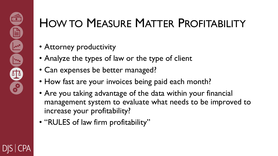## HOW TO MEASURE MATTER PROFITABILITY

- Attorney productivity
- Analyze the types of law or the type of client
- Can expenses be better managed?
- How fast are your invoices being paid each month?
- Are you taking advantage of the data within your financial management system to evaluate what needs to be improved to increase your profitability?
- "RULES of law firm profitability"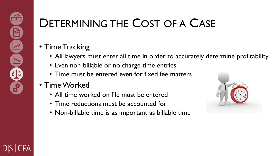## DETERMINING THE COST OF A CASE

#### • Time Tracking

- All lawyers must enter all time in order to accurately determine profitability
- Even non-billable or no charge time entries
- Time must be entered even for fixed fee matters
- Time Worked
	- All time worked on file must be entered
	- Time reductions must be accounted for
	- Non-billable time is as important as billable time

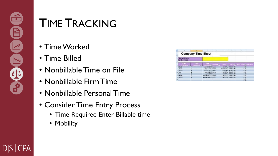#### TIME TRACKING

- Time Worked
- Time Billed
- Nonbillable Time on File
- Nonbillable Firm Time
- Nonbillable Personal Time
- Consider Time Entry Process
	- Time Required Enter Billable time
	- Mobility

|                   |                             |                                     |                        |            |                     |                                   | √N                                |  |
|-------------------|-----------------------------|-------------------------------------|------------------------|------------|---------------------|-----------------------------------|-----------------------------------|--|
| $\overline{1}$    | <b>Company Time Sheet</b>   |                                     |                        |            |                     |                                   |                                   |  |
| ×                 | <b>Therapist Name:</b>      |                                     |                        |            |                     |                                   |                                   |  |
|                   | Invoice Period:             |                                     |                        |            |                     |                                   |                                   |  |
|                   | <b>Marit</b><br>Tal Name OI | <b>Cilent</b><br>Last Name <b>D</b> | <b>DIVOR</b>           | coation m/ | Time in             |                                   | Thre One Hours Worked, Convention |  |
|                   | <b>Purcher</b>              |                                     | Dasi 33 2017 Center    |            |                     | <b>COLORADO DE LA COLORADO DE</b> | 800                               |  |
|                   | <b>Jacos</b>                |                                     | May 21, 2017 Dome:     |            | <b>UEST THE WAY</b> | 418100394                         | ty his                            |  |
|                   | <b>Justai</b>               | м                                   | June 11, 2017, Contex  |            | <b>BUSCART AND</b>  | 4.30.00 PM                        | $H + D$                           |  |
| 15                | Tom                         | ā                                   | July 12, 2017 Home     |            | 2 80 00 PM          | 0.00.00 PM                        | 8.50                              |  |
| 33                | Tom                         | n                                   | JUN 13, 2017, Home     |            | 120120-007          | 0.00100.097                       | 1.80                              |  |
|                   | 12 Choster                  |                                     | August 12, 2017 Center |            | <b>FOR DECIME</b>   | 718100 W                          | 330                               |  |
|                   | 13 Justair                  |                                     | August 14, 2017 Home   |            | 1.50.00 PM          | <b>B 00.00 PM</b>                 | 4.50                              |  |
| 14                |                             |                                     |                        |            |                     |                                   | 0.00                              |  |
| <b>CONTRACTOR</b> |                             |                                     |                        |            |                     |                                   | <b>AND READY</b>                  |  |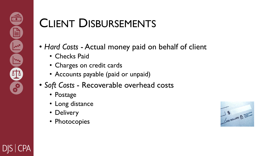## CLIENT DISBURSEMENTS

- *Hard Costs*  Actual money paid on behalf of client
	- Checks Paid
	- Charges on credit cards
	- Accounts payable (paid or unpaid)
- *Soft Costs*  Recoverable overhead costs
	- Postage
	- Long distance
	- Delivery
	- Photocopies

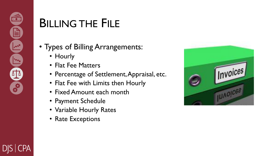## BILLING THE FILE

- Types of Billing Arrangements:
	- Hourly
	- Flat Fee Matters
	- Percentage of Settlement, Appraisal, etc.
	- Flat Fee with Limits then Hourly
	- Fixed Amount each month
	- Payment Schedule
	- Variable Hourly Rates
	- Rate Exceptions

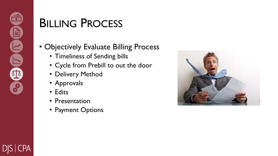### BILLING PROCESS

- Objectively Evaluate Billing Process
	- Timeliness of Sending bills
	- Cycle from Prebill to out the door
	- Delivery Method
	- Approvals
	- Edits
	- Presentation
	- Payment Options

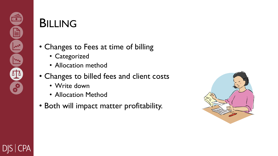#### BILLING

#### • Changes to Fees at time of billing

- Categorized
- Allocation method
- Changes to billed fees and client costs
	- Write down
	- Allocation Method
- Both will impact matter profitability.

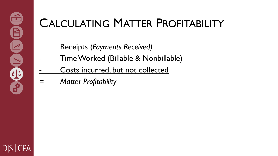## CALCULATING MATTER PROFITABILITY

Receipts (*Payments Received)*

- Time Worked (Billable & Nonbillable)
- Costs incurred, but not collected
- *= Matter Profitability*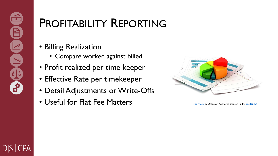### PROFITABILITY REPORTING

#### • Billing Realization

- Compare worked against billed
- Profit realized per time keeper
- Effective Rate per timekeeper
- Detail Adjustments or Write-Offs
- Useful for Flat Fee Matters [This Photo](https://fernandofranzini.wordpress.com/2015/07/09/jse-m4-desenvolvedor-de-relatorios-java/) by Unknown Author is licensed under [CC BY-SA](https://creativecommons.org/licenses/by-sa/3.0/)

| ă |  |  |
|---|--|--|
|   |  |  |
|   |  |  |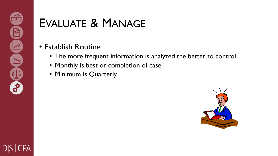### EVALUATE & MANAGE

#### • Establish Routine

- The more frequent information is analyzed the better to control
- Monthly is best or completion of case
- Minimum is Quarterly

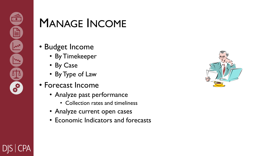#### MANAGE INCOME

- Budget Income
	- By Timekeeper
	- By Case
	- By Type of Law
- Forecast Income
	- Analyze past performance
		- Collection rates and timeliness
	- Analyze current open cases
	- Economic Indicators and forecasts

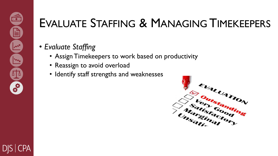## EVALUATE STAFFING & MANAGING TIMEKEEPERS

- *Evaluate Staffing*
	- Assign Timekeepers to work based on productivity
	- Reassign to avoid overload
	- Identify staff strengths and weaknesses

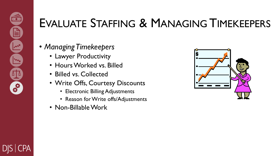### EVALUATE STAFFING & MANAGING TIMEKEEPERS

#### • *Managing Timekeepers*

- Lawyer Productivity
- Hours Worked vs. Billed
- Billed vs. Collected
- Write Offs, Courtesy Discounts
	- Electronic Billing Adjustments
	- Reason for Write offs/Adjustments
- Non-Billable Work

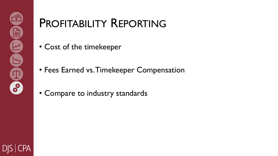### PROFITABILITY REPORTING

- Cost of the timekeeper
- Fees Earned vs. Timekeeper Compensation
- Compare to industry standards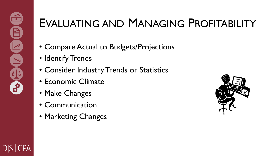### EVALUATING AND MANAGING PROFITABILITY

- Compare Actual to Budgets/Projections
- Identify Trends
- Consider Industry Trends or Statistics
- Economic Climate
- Make Changes
- Communication
- Marketing Changes

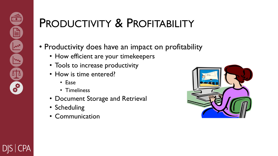### PRODUCTIVITY & PROFITABILITY

- Productivity does have an impact on profitability
	- How efficient are your timekeepers
	- Tools to increase productivity
	- How is time entered?
		- Ease
		- Timeliness
	- Document Storage and Retrieval
	- Scheduling
	- Communication

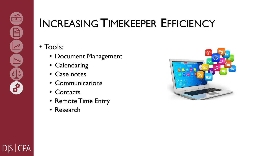### INCREASING TIMEKEEPER EFFICIENCY

#### • Tools:

- Document Management
- Calendaring
- Case notes
- Communications
- Contacts
- Remote Time Entry
- Research

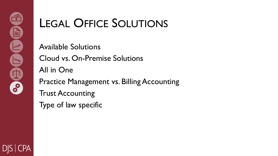## LEGAL OFFICE SOLUTIONS

Available Solutions Cloud vs. On-Premise Solutions All in One Practice Management vs. Billing Accounting Trust Accounting Type of law specific